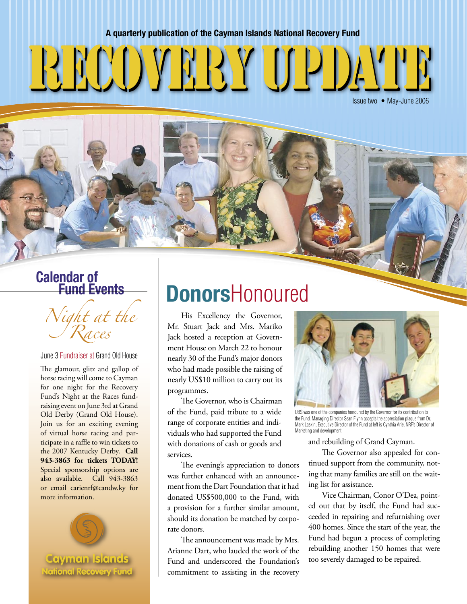#### **A quarterly publication of the Cayman Islands National Recovery Fund**

# recovery update recovery update

Issue two • May-June 2006

## **Calendar of Fund Events**

Night at the Races

June 3 Fundraiser at Grand Old House

The glamour, glitz and gallop of horse racing will come to Cayman for one night for the Recovery Fund's Night at the Races fundraising event on June 3rd at Grand Old Derby (Grand Old House). Join us for an exciting evening of virtual horse racing and participate in a raffle to win tickets to the 2007 Kentucky Derby. **Call 943-3863 for tickets TODAY!**  Special sponsorship options are also available. Call 943-3863 or email carienrf@candw.ky for more information.



## **Donors**Honoured

His Excellency the Governor, Mr. Stuart Jack and Mrs. Mariko Jack hosted a reception at Government House on March 22 to honour nearly 30 of the Fund's major donors who had made possible the raising of nearly US\$10 million to carry out its programmes.

 The Governor, who is Chairman of the Fund, paid tribute to a wide range of corporate entities and individuals who had supported the Fund with donations of cash or goods and services.

 The evening's appreciation to donors was further enhanced with an announcement from the Dart Foundation that it had donated US\$500,000 to the Fund, with a provision for a further similar amount, should its donation be matched by corporate donors.

 The announcement was made by Mrs. Arianne Dart, who lauded the work of the Fund and underscored the Foundation's commitment to assisting in the recovery



UBS was one of the companies honoured by the Governor for its contribution to the Fund. Managing Director Sean Flynn accepts the appreciation plaque from Dr. Mark Laskin, Executive Director of the Fund at left is Cynthia Arie, NRF's Director of Marketing and development.

and rebuilding of Grand Cayman.

 The Governor also appealed for continued support from the community, noting that many families are still on the waiting list for assistance.

 Vice Chairman, Conor O'Dea, pointed out that by itself, the Fund had succeeded in repairing and refurnishing over 400 homes. Since the start of the year, the Fund had begun a process of completing rebuilding another 150 homes that were too severely damaged to be repaired.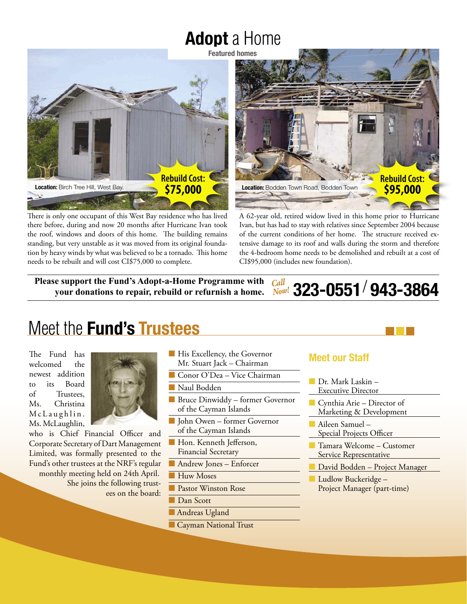## **Adopt** a Home



There is only one occupant of this West Bay residence who has lived there before, during and now 20 months after Hurricane Ivan took the roof, windows and doors of this home. The building remains standing, but very unstable as it was moved from its original foundation by heavy winds by what was believed to be a tornado. This home needs to be rebuilt and will cost CI\$75,000 to complete.



A 62-year old, retired widow lived in this home prior to Hurricane Ivan, but has had to stay with relatives since September 2004 because of the current conditions of her home. The structure received extensive damage to its roof and walls during the storm and therefore the 4-bedroom home needs to be demolished and rebuilt at a cost of CI\$95,000 (includes new foundation).

**Please support the Fund's Adopt-a-Home Programme with your donations to repair, rebuild or refurnish a home. 943-3864** *Call Now!* **323-0551**

## Meet the **Fund's Trustees**

The Fund has welcomed the newest addition to its Board of Trustees, Ms. Christina McLaughlin. Ms. McLaughlin,



who is Chief Financial Officer and Corporate Secretary of Dart Management Limited, was formally presented to the Fund's other trustees at the NRF's regular monthly meeting held on 24th April. She joins the following trustees on the board:

- His Excellency, the Governor Mr. Stuart Jack – Chairman
- Conor O'Dea Vice Chairman

Naul Bodden

- Bruce Dinwiddy former Governor of the Cayman Islands
- John Owen former Governor of the Cayman Islands
- Hon. Kenneth Jefferson, Financial Secretary
- Andrew Jones Enforcer
- Huw Moses
- Pastor Winston Rose
- Dan Scott
- Andreas Ugland
- Cayman National Trust

#### **Meet our Staff**

- Dr. Mark Laskin –
- Executive Director
- Cynthia Arie Director of Marketing & Development
- Aileen Samuel Special Projects Officer
- Tamara Welcome Customer Service Representative
- David Bodden Project Manager
- Ludlow Buckeridge Project Manager (part-time)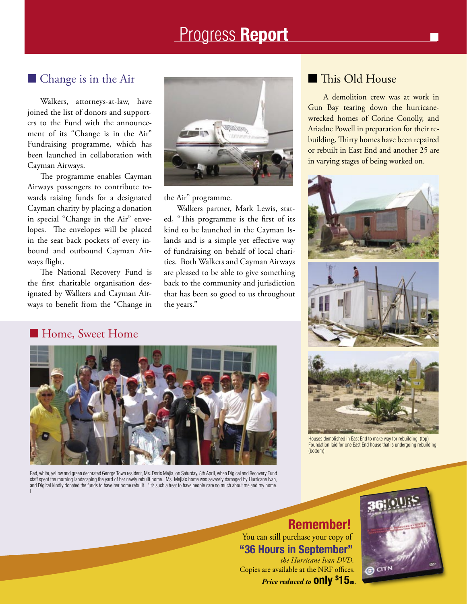### Progress **Report**

#### ■ Change is in the Air

Walkers, attorneys-at-law, have joined the list of donors and supporters to the Fund with the announcement of its "Change is in the Air" Fundraising programme, which has been launched in collaboration with Cayman Airways.

 The programme enables Cayman Airways passengers to contribute towards raising funds for a designated Cayman charity by placing a donation in special "Change in the Air" envelopes. The envelopes will be placed in the seat back pockets of every inbound and outbound Cayman Airways flight.

 The National Recovery Fund is the first charitable organisation designated by Walkers and Cayman Airways to benefit from the "Change in



the Air" programme.

 Walkers partner, Mark Lewis, stated, "This programme is the first of its kind to be launched in the Cayman Islands and is a simple yet effective way of fundraising on behalf of local charities. Both Walkers and Cayman Airways are pleased to be able to give something back to the community and jurisdiction that has been so good to us throughout the years."

#### ■ This Old House

A demolition crew was at work in Gun Bay tearing down the hurricanewrecked homes of Corine Conolly, and Ariadne Powell in preparation for their rebuilding. Thirty homes have been repaired or rebuilt in East End and another 25 are in varying stages of being worked on.



#### ■ Home, Sweet Home



Red, white, yellow and green decorated George Town resident, Ms. Doris Mejia, on Saturday, 8th April, when Digicel and Recovery Fund staff spent the morning landscaping the yard of her newly rebuilt home. Ms. Mejia's home was severely damaged by Hurricane Ivan, and Digicel kindly donated the funds to have her home rebuilt. "It's such a treat to have people care so much about me and my home. I



Houses demolished in East End to make way for rebuilding. (top) Foundation laid for one East End house that is undergoing rebuilding. (bottom)

**Remember!** You can still purchase your copy of **"36 Hours in September"**  *the Hurricane Ivan DVD.* Copies are available at the NRF offices. *Price reduced to* **only \$ 15ea.**